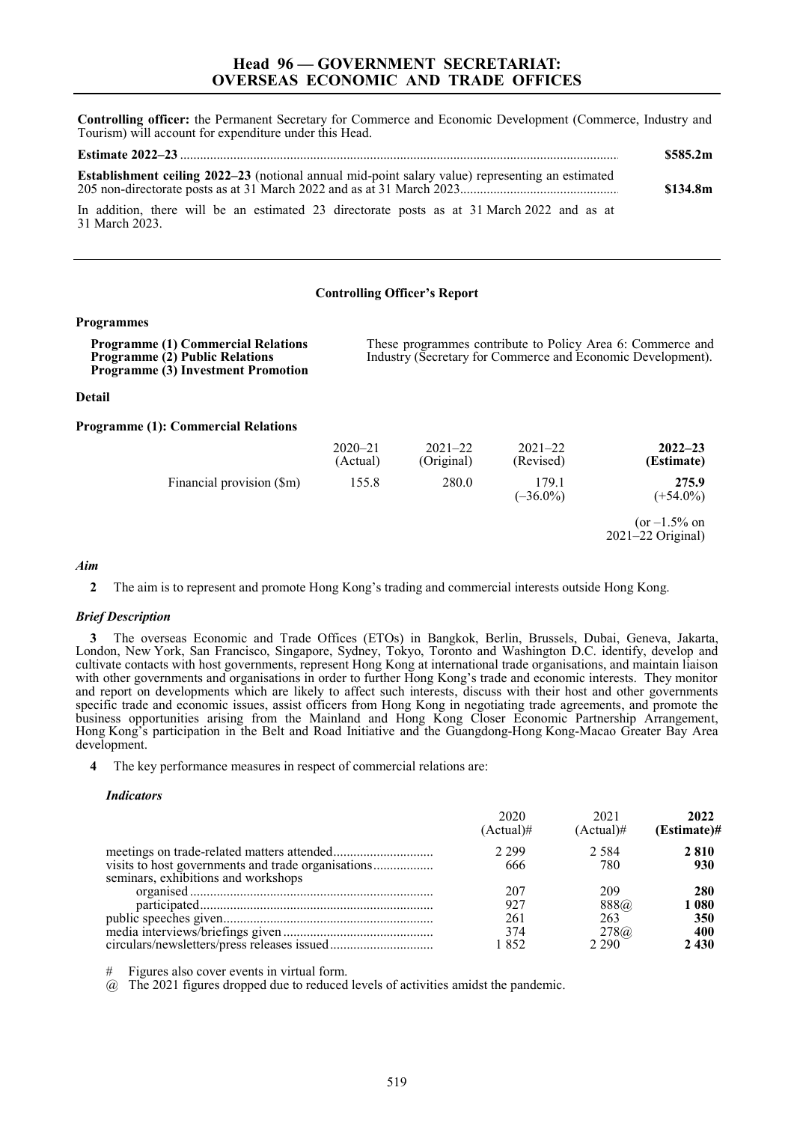**Controlling officer:** the Permanent Secretary for Commerce and Economic Development (Commerce, Industry and Tourism) will account for expenditure under this Head.

|                                                                                                              | \$585.2m |
|--------------------------------------------------------------------------------------------------------------|----------|
| <b>Establishment ceiling 2022–23</b> (notional annual mid-point salary value) representing an estimated      | \$134.8m |
| In addition, there will be an estimated 23 directorate posts as at 31 March 2022 and as at<br>31 March 2023. |          |

#### **Controlling Officer's Report**

### **Programmes**

| <b>Programme (1) Commercial Relations</b><br><b>Programme (2) Public Relations</b><br><b>Programme (3) Investment Promotion</b> | These programmes contribute to Policy Area 6: Commerce and<br>Industry (Secretary for Commerce and Economic Development). |                           |                          |                                      |
|---------------------------------------------------------------------------------------------------------------------------------|---------------------------------------------------------------------------------------------------------------------------|---------------------------|--------------------------|--------------------------------------|
| Detail                                                                                                                          |                                                                                                                           |                           |                          |                                      |
| <b>Programme (1): Commercial Relations</b>                                                                                      |                                                                                                                           |                           |                          |                                      |
|                                                                                                                                 | $2020 - 21$<br>(Actual)                                                                                                   | $2021 - 22$<br>(Original) | $2021 - 22$<br>(Revised) | $2022 - 23$<br>(Estimate)            |
| Financial provision (\$m)                                                                                                       | 155.8                                                                                                                     | 280.0                     | 179.1<br>$(-36.0\%)$     | 275.9<br>$(+54.0\%)$                 |
|                                                                                                                                 |                                                                                                                           |                           |                          | $(or -1.5\% on$<br>2021-22 Original) |

# *Aim*

## *Brief Description*

**3** The overseas Economic and Trade Offices (ETOs) in Bangkok, Berlin, Brussels, Dubai, Geneva, Jakarta, London, New York, San Francisco, Singapore, Sydney, Tokyo, Toronto and Washington D.C. identify, develop and cultivate contacts with host governments, represent Hong Kong at international trade organisations, and maintain liaison with other governments and organisations in order to further Hong Kong's trade and economic interests. They monitor and report on developments which are likely to affect such interests, discuss with their host and other governments specific trade and economic issues, assist officers from Hong Kong in negotiating trade agreements, and promote the business opportunities arising from the Mainland and Hong Kong Closer Economic Partnership Arrangement, Hong Kong's participation in the Belt and Road Initiative and the Guangdong-Hong Kong-Macao Greater Bay Area development.

**4** The key performance measures in respect of commercial relations are:

#### *Indicators*

|                                     | 2020<br>$(Actual)$ # | 2021<br>$(Actual)$ # | 2022<br>(Estimate)# |
|-------------------------------------|----------------------|----------------------|---------------------|
|                                     | 2.299                | 2.584                | 2810                |
|                                     | 666                  | 780                  | 930                 |
| seminars, exhibitions and workshops |                      |                      |                     |
|                                     | 207                  | 209                  | 280                 |
|                                     | 927                  | 888@                 | 1 080               |
|                                     | 261                  | 263                  | 350                 |
|                                     | 374                  | 278@                 | 400                 |
|                                     | 1852                 | 2.290                | 2 4 3 0             |

# Figures also cover events in virtual form.

 $\omega$  The 2021 figures dropped due to reduced levels of activities amidst the pandemic.

**<sup>2</sup>** The aim is to represent and promote Hong Kong's trading and commercial interests outside Hong Kong.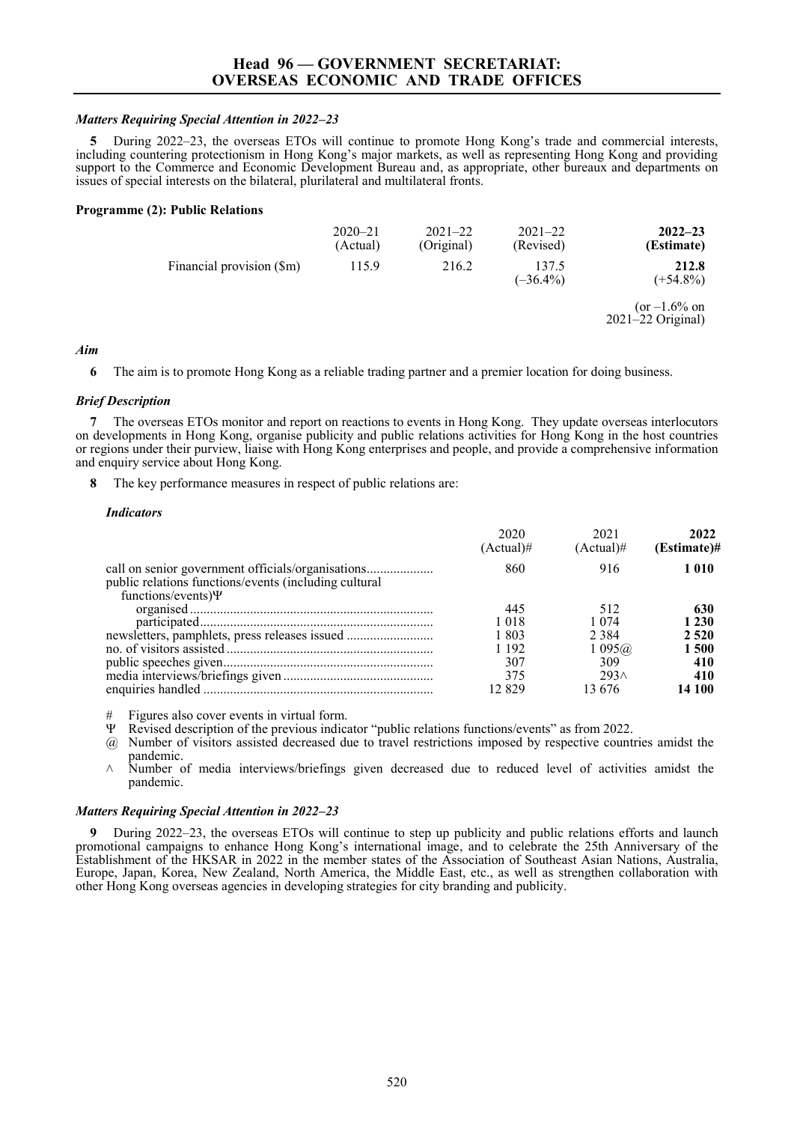## *Matters Requiring Special Attention in 2022–23*

**5** During 2022–23, the overseas ETOs will continue to promote Hong Kong's trade and commercial interests, including countering protectionism in Hong Kong's major markets, as well as representing Hong Kong and providing support to the Commerce and Economic Development Bureau and, as appropriate, other bureaux and departments on issues of special interests on the bilateral, plurilateral and multilateral fronts.

## **Programme (2): Public Relations**

|                           | $2020 - 21$<br>(Actual) | $2021 - 22$<br>(Original) | $2021 - 22$<br>(Revised) | $2022 - 23$<br>(Estimate)              |
|---------------------------|-------------------------|---------------------------|--------------------------|----------------------------------------|
| Financial provision (\$m) | 115.9                   | 216.2                     | 137.5<br>$(-36.4\%)$     | 212.8<br>$(+54.8\%)$                   |
|                           |                         |                           |                          | $(or -1.6\% on$<br>$2021-22$ Original) |

# *Aim*

**6** The aim is to promote Hong Kong as a reliable trading partner and a premier location for doing business.

# *Brief Description*

**7** The overseas ETOs monitor and report on reactions to events in Hong Kong. They update overseas interlocutors on developments in Hong Kong, organise publicity and public relations activities for Hong Kong in the host countries or regions under their purview, liaise with Hong Kong enterprises and people, and provide a comprehensive information and enquiry service about Hong Kong.

**8** The key performance measures in respect of public relations are:

## *Indicators*

|                                                                                                                                        | 2020<br>(Actual)# | 2021<br>$(Actual)$ # | 2022<br>$(Estimate)$ # |
|----------------------------------------------------------------------------------------------------------------------------------------|-------------------|----------------------|------------------------|
| call on senior government officials/organisations<br>public relations functions/events (including cultural<br>functions/events) $\Psi$ | 860               | 916                  | 1010                   |
|                                                                                                                                        | 445               | 512                  | 630                    |
|                                                                                                                                        | 1 018             | 1 074                | 1 230                  |
| newsletters, pamphlets, press releases issued                                                                                          | 1 803             | 2 3 8 4              | 2 5 2 0                |
|                                                                                                                                        | 1 1 9 2           | $1\,095@$            | 1 500                  |
|                                                                                                                                        | 307               | 309                  | 410                    |
|                                                                                                                                        | 375               | 293 <sub>0</sub>     | 410                    |
|                                                                                                                                        | 12.829            | 13.676               | 14 100                 |

 $#$  Figures also cover events in virtual form.<br>W. Bevised description of the previous indice

Revised description of the previous indicator "public relations functions/events" as from 2022.

@ Number of visitors assisted decreased due to travel restrictions imposed by respective countries amidst the pandemic.

 $\land$  Number of media interviews/briefings given decreased due to reduced level of activities amidst the pandemic.

# *Matters Requiring Special Attention in 2022–23*

**9** During 2022–23, the overseas ETOs will continue to step up publicity and public relations efforts and launch promotional campaigns to enhance Hong Kong's international image, and to celebrate the 25th Anniversary of the Establishment of the HKSAR in 2022 in the member states of the Association of Southeast Asian Nations, Australia, Europe, Japan, Korea, New Zealand, North America, the Middle East, etc., as well as strengthen collaboration with other Hong Kong overseas agencies in developing strategies for city branding and publicity.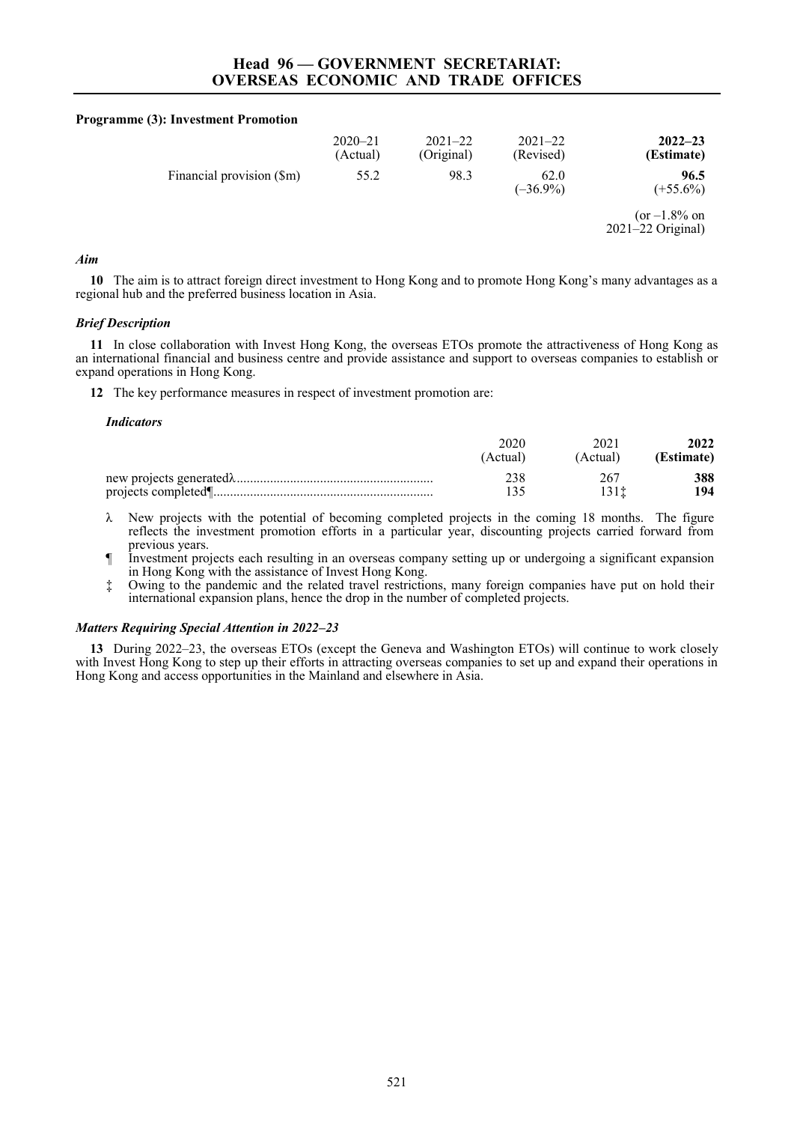### **Programme (3): Investment Promotion**

|                           | $2020 - 21$<br>(Actual) | $2021 - 22$<br>(Original) | $2021 - 22$<br>(Revised) | $2022 - 23$<br>(Estimate)                |
|---------------------------|-------------------------|---------------------------|--------------------------|------------------------------------------|
| Financial provision (\$m) | 55.2                    | 98.3                      | 62.0<br>$(-36.9\%)$      | 96.5<br>$(+55.6\%)$                      |
|                           |                         |                           |                          | $(or -1.8\% on$<br>$2021 - 22$ Original) |

# *Aim*

**10** The aim is to attract foreign direct investment to Hong Kong and to promote Hong Kong's many advantages as a regional hub and the preferred business location in Asia.

## *Brief Description*

**11** In close collaboration with Invest Hong Kong, the overseas ETOs promote the attractiveness of Hong Kong as an international financial and business centre and provide assistance and support to overseas companies to establish or expand operations in Hong Kong.

**12** The key performance measures in respect of investment promotion are:

#### *Indicators*

| Actual | Actual | 2022<br>(Estimate) |
|--------|--------|--------------------|
|        |        | 388<br>-94         |

- λ New projects with the potential of becoming completed projects in the coming 18 months. The figure reflects the investment promotion efforts in a particular year, discounting projects carried forward from previous years.
- ¶ Investment projects each resulting in an overseas company setting up or undergoing a significant expansion in Hong Kong with the assistance of Invest Hong Kong.
- ‡ Owing to the pandemic and the related travel restrictions, many foreign companies have put on hold their international expansion plans, hence the drop in the number of completed projects.

## *Matters Requiring Special Attention in 2022–23*

**13** During 2022–23, the overseas ETOs (except the Geneva and Washington ETOs) will continue to work closely with Invest Hong Kong to step up their efforts in attracting overseas companies to set up and expand their operations in Hong Kong and access opportunities in the Mainland and elsewhere in Asia.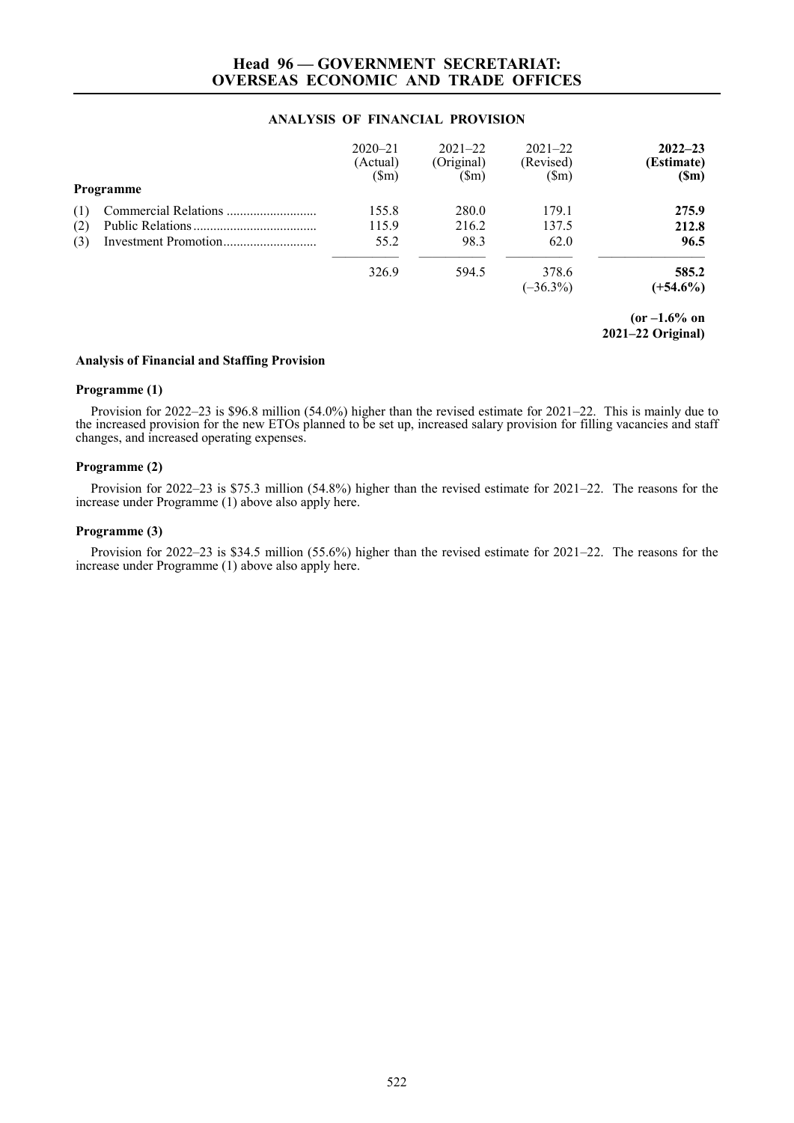# **Head 96 — GOVERNMENT SECRETARIAT: OVERSEAS ECONOMIC AND TRADE OFFICES**

# **ANALYSIS OF FINANCIAL PROVISION**

|     | Programme | $2020 - 21$<br>(Actual)<br>$(\text{Sm})$ | $2021 - 22$<br>(Original)<br>$(\mathbb{S}_{m})$ | $2021 - 22$<br>(Revised)<br>$(\text{Sm})$ | $2022 - 23$<br>(Estimate)<br>(Sm) |
|-----|-----------|------------------------------------------|-------------------------------------------------|-------------------------------------------|-----------------------------------|
| (1) |           | 155.8                                    | 280.0                                           | 179.1                                     | 275.9                             |
| (2) |           | 115.9                                    | 216.2                                           | 137.5                                     | 212.8                             |
| (3) |           | 55.2                                     | 98.3                                            | 62.0                                      | 96.5                              |
|     |           | 326.9                                    | 594.5                                           | 378.6<br>$(-36.3\%)$                      | 585.2<br>$(+54.6\%)$              |

**(or –1.6% on 2021–22 Original)** 

# **Analysis of Financial and Staffing Provision**

## **Programme (1)**

Provision for 2022–23 is \$96.8 million (54.0%) higher than the revised estimate for 2021–22. This is mainly due to the increased provision for the new ETOs planned to be set up, increased salary provision for filling vacancies and staff changes, and increased operating expenses.

# **Programme (2)**

Provision for 2022–23 is \$75.3 million (54.8%) higher than the revised estimate for 2021–22. The reasons for the increase under Programme (1) above also apply here.

# **Programme (3)**

Provision for 2022–23 is \$34.5 million (55.6%) higher than the revised estimate for 2021–22. The reasons for the increase under Programme (1) above also apply here.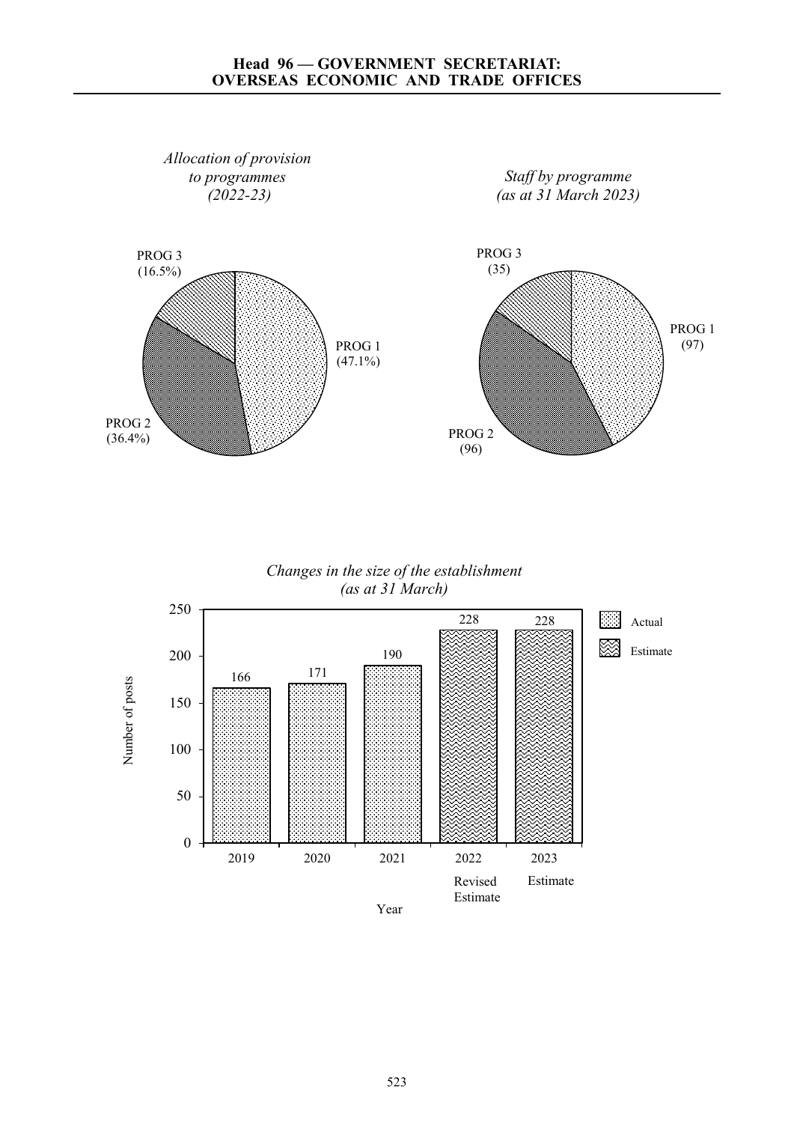# **Head 96 — GOVERNMENT SECRETARIAT: OVERSEAS ECONOMIC AND TRADE OFFICES**



*Changes in the size of the establishment (as at 31 March)*

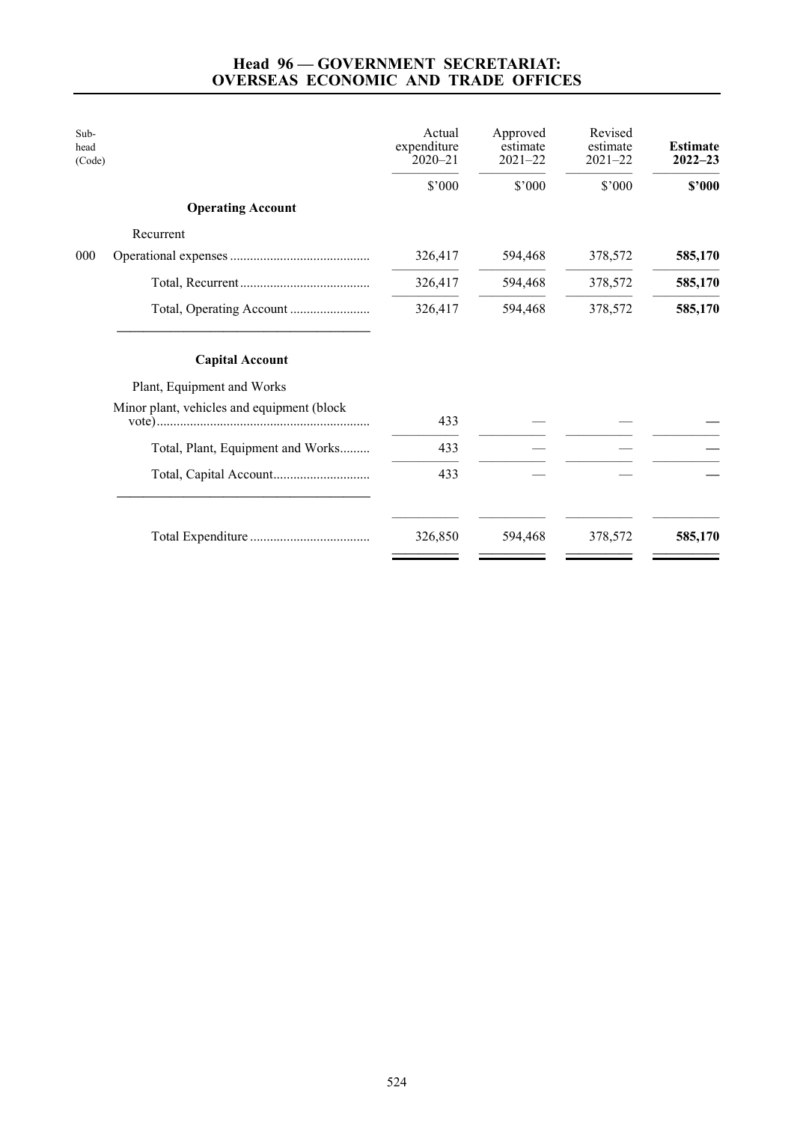# **Head 96 — GOVERNMENT SECRETARIAT: OVERSEAS ECONOMIC AND TRADE OFFICES**

| Sub-<br>head<br>(Code) |                                            | Actual<br>expenditure<br>$2020 - 21$ | Approved<br>estimate<br>$2021 - 22$ | Revised<br>estimate<br>$2021 - 22$ | <b>Estimate</b><br>$2022 - 23$ |
|------------------------|--------------------------------------------|--------------------------------------|-------------------------------------|------------------------------------|--------------------------------|
|                        |                                            | \$'000                               | \$'000                              | \$'000                             | \$2000                         |
|                        | <b>Operating Account</b>                   |                                      |                                     |                                    |                                |
|                        | Recurrent                                  |                                      |                                     |                                    |                                |
| 000                    |                                            | 326,417                              | 594,468                             | 378,572                            | 585,170                        |
|                        |                                            | 326,417                              | 594,468                             | 378,572                            | 585,170                        |
|                        |                                            | 326,417                              | 594,468                             | 378,572                            | 585,170                        |
|                        | <b>Capital Account</b>                     |                                      |                                     |                                    |                                |
|                        | Plant, Equipment and Works                 |                                      |                                     |                                    |                                |
|                        | Minor plant, vehicles and equipment (block | 433                                  |                                     |                                    |                                |
|                        | Total, Plant, Equipment and Works          | 433                                  |                                     |                                    |                                |
|                        |                                            | 433                                  |                                     |                                    |                                |
|                        |                                            | 326,850                              | 594,468                             | 378,572                            | 585,170                        |
|                        |                                            |                                      |                                     |                                    |                                |